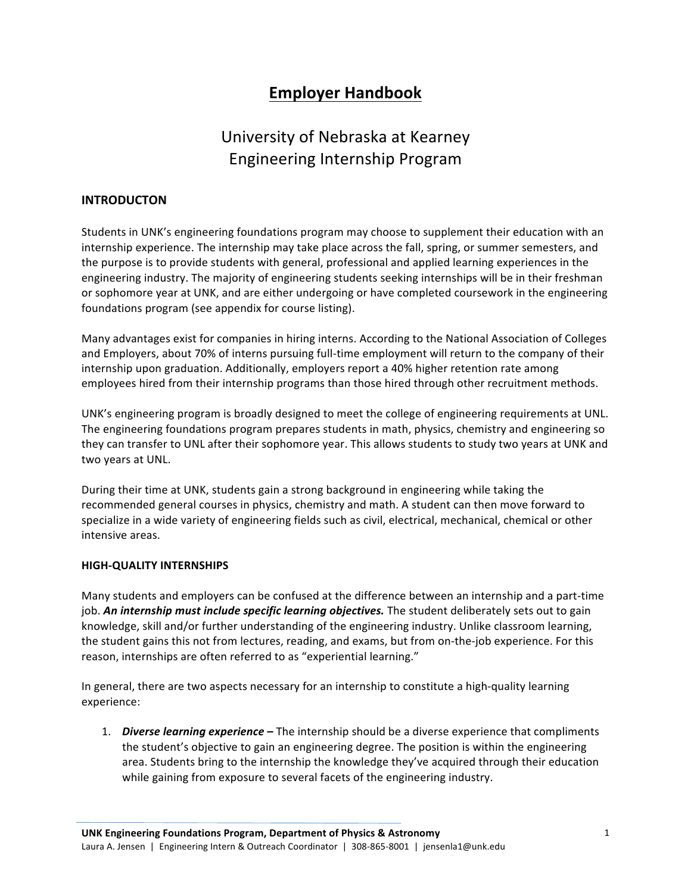# **Employer Handbook**

# University of Nebraska at Kearney Engineering Internship Program

# **INTRODUCTON**

Students in UNK's engineering foundations program may choose to supplement their education with an internship experience. The internship may take place across the fall, spring, or summer semesters, and the purpose is to provide students with general, professional and applied learning experiences in the engineering industry. The majority of engineering students seeking internships will be in their freshman or sophomore year at UNK, and are either undergoing or have completed coursework in the engineering foundations program (see appendix for course listing).

Many advantages exist for companies in hiring interns. According to the National Association of Colleges and Employers, about 70% of interns pursuing full-time employment will return to the company of their internship upon graduation. Additionally, employers report a 40% higher retention rate among employees hired from their internship programs than those hired through other recruitment methods.

UNK's engineering program is broadly designed to meet the college of engineering requirements at UNL. The engineering foundations program prepares students in math, physics, chemistry and engineering so they can transfer to UNL after their sophomore year. This allows students to study two years at UNK and two years at UNL.

During their time at UNK, students gain a strong background in engineering while taking the recommended general courses in physics, chemistry and math. A student can then move forward to specialize in a wide variety of engineering fields such as civil, electrical, mechanical, chemical or other intensive areas.

## **HIGH-QUALITY INTERNSHIPS**

Many students and employers can be confused at the difference between an internship and a part-time job. An internship must include specific learning objectives. The student deliberately sets out to gain knowledge, skill and/or further understanding of the engineering industry. Unlike classroom learning, the student gains this not from lectures, reading, and exams, but from on-the-job experience. For this reason, internships are often referred to as "experiential learning."

In general, there are two aspects necessary for an internship to constitute a high-quality learning experience:

1. **Diverse learning experience** – The internship should be a diverse experience that compliments the student's objective to gain an engineering degree. The position is within the engineering area. Students bring to the internship the knowledge they've acquired through their education while gaining from exposure to several facets of the engineering industry.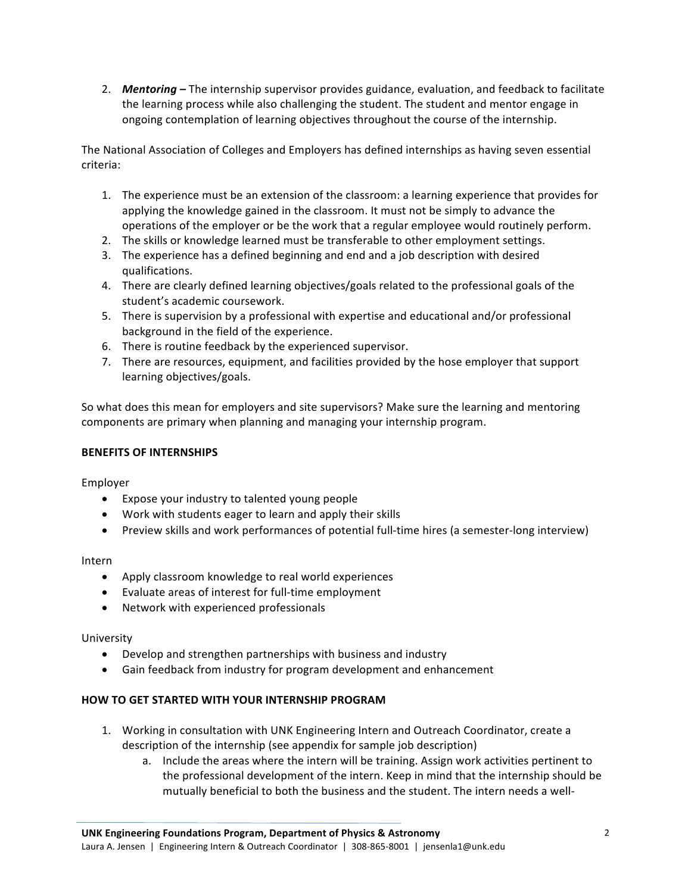2. **Mentoring** – The internship supervisor provides guidance, evaluation, and feedback to facilitate the learning process while also challenging the student. The student and mentor engage in ongoing contemplation of learning objectives throughout the course of the internship.

The National Association of Colleges and Employers has defined internships as having seven essential criteria:

- 1. The experience must be an extension of the classroom: a learning experience that provides for applying the knowledge gained in the classroom. It must not be simply to advance the operations of the employer or be the work that a regular employee would routinely perform.
- 2. The skills or knowledge learned must be transferable to other employment settings.
- 3. The experience has a defined beginning and end and a job description with desired qualifications.
- 4. There are clearly defined learning objectives/goals related to the professional goals of the student's academic coursework.
- 5. There is supervision by a professional with expertise and educational and/or professional background in the field of the experience.
- 6. There is routine feedback by the experienced supervisor.
- 7. There are resources, equipment, and facilities provided by the hose employer that support learning objectives/goals.

So what does this mean for employers and site supervisors? Make sure the learning and mentoring components are primary when planning and managing your internship program.

# **BENEFITS OF INTERNSHIPS**

Employer

- Expose your industry to talented young people
- Work with students eager to learn and apply their skills
- Preview skills and work performances of potential full-time hires (a semester-long interview)

Intern

- Apply classroom knowledge to real world experiences
- Evaluate areas of interest for full-time employment
- Network with experienced professionals

University

- Develop and strengthen partnerships with business and industry
- Gain feedback from industry for program development and enhancement

## **HOW TO GET STARTED WITH YOUR INTERNSHIP PROGRAM**

- 1. Working in consultation with UNK Engineering Intern and Outreach Coordinator, create a description of the internship (see appendix for sample job description)
	- a. Include the areas where the intern will be training. Assign work activities pertinent to the professional development of the intern. Keep in mind that the internship should be mutually beneficial to both the business and the student. The intern needs a well-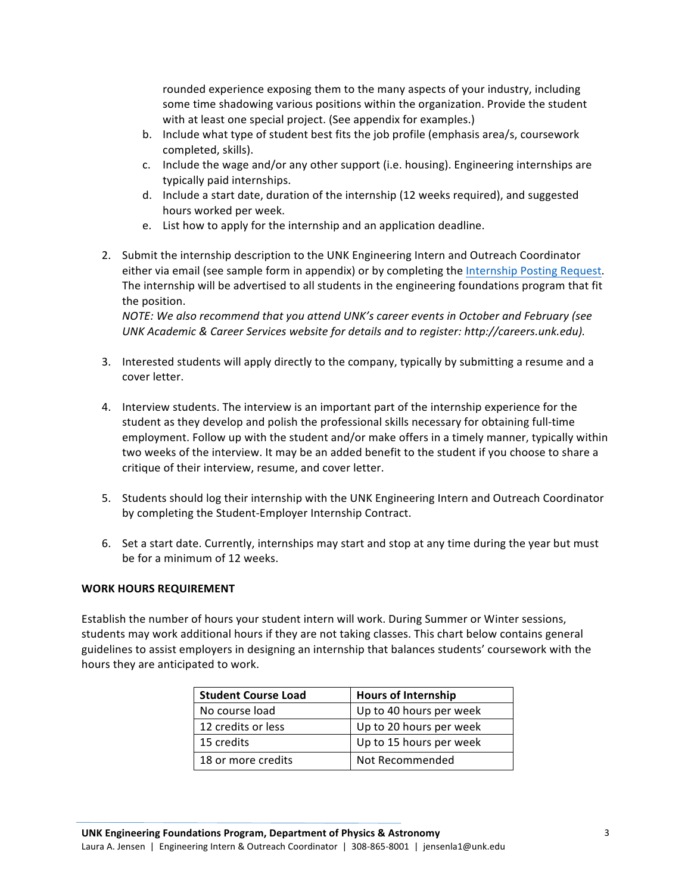rounded experience exposing them to the many aspects of your industry, including some time shadowing various positions within the organization. Provide the student with at least one special project. (See appendix for examples.)

- b. Include what type of student best fits the job profile (emphasis area/s, coursework completed, skills).
- c. Include the wage and/or any other support (i.e. housing). Engineering internships are typically paid internships.
- d. Include a start date, duration of the internship (12 weeks required), and suggested hours worked per week.
- e. List how to apply for the internship and an application deadline.
- 2. Submit the internship description to the UNK Engineering Intern and Outreach Coordinator either via email (see sample form in appendix) or by completing the Internship Posting Request. The internship will be advertised to all students in the engineering foundations program that fit the position.

*NOTE:* We also recommend that you attend UNK's career events in October and February (see UNK Academic & Career Services website for details and to register: http://careers.unk.edu).

- 3. Interested students will apply directly to the company, typically by submitting a resume and a cover letter.
- 4. Interview students. The interview is an important part of the internship experience for the student as they develop and polish the professional skills necessary for obtaining full-time employment. Follow up with the student and/or make offers in a timely manner, typically within two weeks of the interview. It may be an added benefit to the student if you choose to share a critique of their interview, resume, and cover letter.
- 5. Students should log their internship with the UNK Engineering Intern and Outreach Coordinator by completing the Student-Employer Internship Contract.
- 6. Set a start date. Currently, internships may start and stop at any time during the year but must be for a minimum of 12 weeks.

## WORK HOURS REQUIREMENT

Establish the number of hours your student intern will work. During Summer or Winter sessions, students may work additional hours if they are not taking classes. This chart below contains general guidelines to assist employers in designing an internship that balances students' coursework with the hours they are anticipated to work.

| <b>Student Course Load</b> | <b>Hours of Internship</b> |
|----------------------------|----------------------------|
| No course load             | Up to 40 hours per week    |
| 12 credits or less         | Up to 20 hours per week    |
| 15 credits                 | Up to 15 hours per week    |
| 18 or more credits         | Not Recommended            |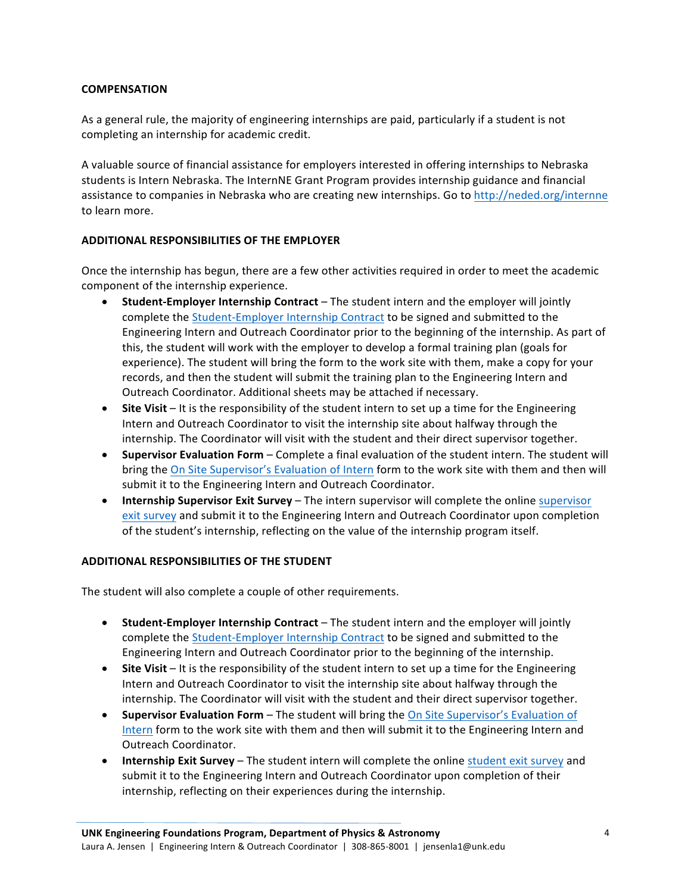## **COMPENSATION**

As a general rule, the majority of engineering internships are paid, particularly if a student is not completing an internship for academic credit.

A valuable source of financial assistance for employers interested in offering internships to Nebraska students is Intern Nebraska. The InternNE Grant Program provides internship guidance and financial assistance to companies in Nebraska who are creating new internships. Go to http://neded.org/internne to learn more.

## **ADDITIONAL RESPONSIBILITIES OF THE EMPLOYER**

Once the internship has begun, there are a few other activities required in order to meet the academic component of the internship experience.

- **Student-Employer Internship Contract** The student intern and the employer will jointly complete the Student-Employer Internship Contract to be signed and submitted to the Engineering Intern and Outreach Coordinator prior to the beginning of the internship. As part of this, the student will work with the employer to develop a formal training plan (goals for experience). The student will bring the form to the work site with them, make a copy for your records, and then the student will submit the training plan to the Engineering Intern and Outreach Coordinator. Additional sheets may be attached if necessary.
- Site Visit It is the responsibility of the student intern to set up a time for the Engineering Intern and Outreach Coordinator to visit the internship site about halfway through the internship. The Coordinator will visit with the student and their direct supervisor together.
- **Supervisor Evaluation Form** Complete a final evaluation of the student intern. The student will bring the On Site Supervisor's Evaluation of Intern form to the work site with them and then will submit it to the Engineering Intern and Outreach Coordinator.
- Internship Supervisor Exit Survey The intern supervisor will complete the online supervisor exit survey and submit it to the Engineering Intern and Outreach Coordinator upon completion of the student's internship, reflecting on the value of the internship program itself.

## **ADDITIONAL RESPONSIBILITIES OF THE STUDENT**

The student will also complete a couple of other requirements.

- **Student-Employer Internship Contract** The student intern and the employer will jointly complete the Student-Employer Internship Contract to be signed and submitted to the Engineering Intern and Outreach Coordinator prior to the beginning of the internship.
- **Site Visit** It is the responsibility of the student intern to set up a time for the Engineering Intern and Outreach Coordinator to visit the internship site about halfway through the internship. The Coordinator will visit with the student and their direct supervisor together.
- **Supervisor Evaluation Form** The student will bring the On Site Supervisor's Evaluation of Intern form to the work site with them and then will submit it to the Engineering Intern and Outreach Coordinator.
- **Internship Exit Survey** The student intern will complete the online student exit survey and submit it to the Engineering Intern and Outreach Coordinator upon completion of their internship, reflecting on their experiences during the internship.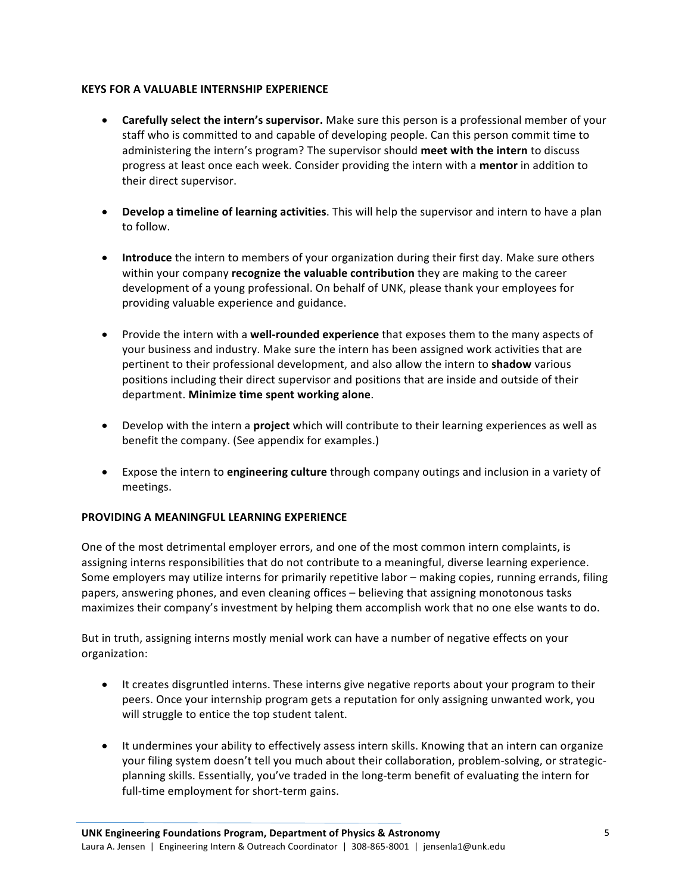# **KEYS FOR A VALUABLE INTERNSHIP EXPERIENCE**

- **Carefully select the intern's supervisor.** Make sure this person is a professional member of your staff who is committed to and capable of developing people. Can this person commit time to administering the intern's program? The supervisor should meet with the intern to discuss progress at least once each week. Consider providing the intern with a **mentor** in addition to their direct supervisor.
- **Develop a timeline of learning activities**. This will help the supervisor and intern to have a plan to follow.
- **Introduce** the intern to members of your organization during their first day. Make sure others within your company **recognize the valuable contribution** they are making to the career development of a young professional. On behalf of UNK, please thank your employees for providing valuable experience and guidance.
- Provide the intern with a **well-rounded experience** that exposes them to the many aspects of your business and industry. Make sure the intern has been assigned work activities that are pertinent to their professional development, and also allow the intern to **shadow** various positions including their direct supervisor and positions that are inside and outside of their department. **Minimize time spent working alone**.
- Develop with the intern a **project** which will contribute to their learning experiences as well as benefit the company. (See appendix for examples.)
- Expose the intern to **engineering culture** through company outings and inclusion in a variety of meetings.

# **PROVIDING A MEANINGFUL LEARNING EXPERIENCE**

One of the most detrimental employer errors, and one of the most common intern complaints, is assigning interns responsibilities that do not contribute to a meaningful, diverse learning experience. Some employers may utilize interns for primarily repetitive labor – making copies, running errands, filing papers, answering phones, and even cleaning offices – believing that assigning monotonous tasks maximizes their company's investment by helping them accomplish work that no one else wants to do.

But in truth, assigning interns mostly menial work can have a number of negative effects on your organization:

- It creates disgruntled interns. These interns give negative reports about your program to their peers. Once your internship program gets a reputation for only assigning unwanted work, you will struggle to entice the top student talent.
- It undermines your ability to effectively assess intern skills. Knowing that an intern can organize your filing system doesn't tell you much about their collaboration, problem-solving, or strategicplanning skills. Essentially, you've traded in the long-term benefit of evaluating the intern for full-time employment for short-term gains.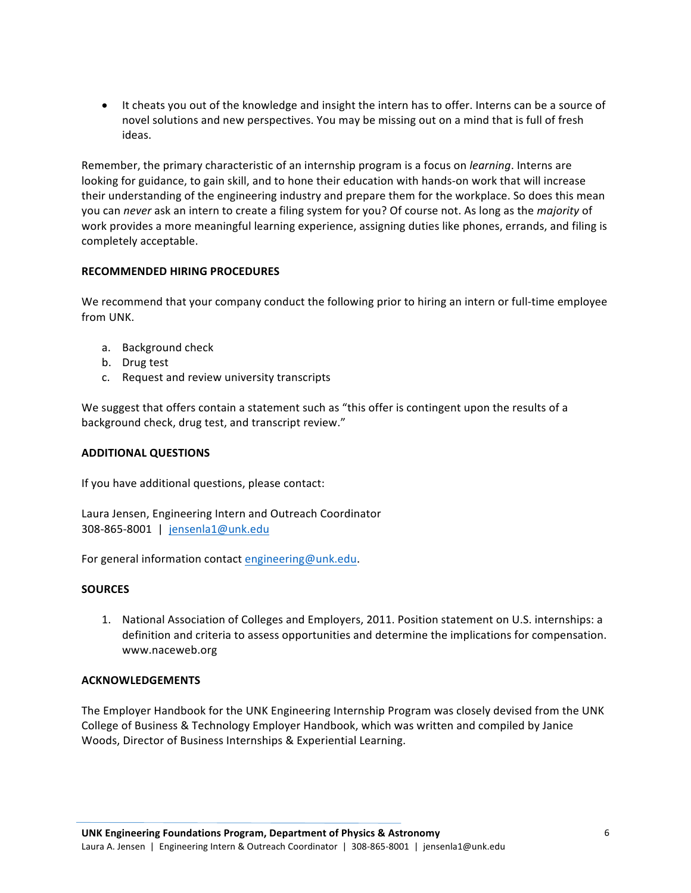• It cheats you out of the knowledge and insight the intern has to offer. Interns can be a source of novel solutions and new perspectives. You may be missing out on a mind that is full of fresh ideas.

Remember, the primary characteristic of an internship program is a focus on *learning*. Interns are looking for guidance, to gain skill, and to hone their education with hands-on work that will increase their understanding of the engineering industry and prepare them for the workplace. So does this mean you can *never* ask an intern to create a filing system for you? Of course not. As long as the *majority* of work provides a more meaningful learning experience, assigning duties like phones, errands, and filing is completely acceptable.

## **RECOMMENDED HIRING PROCEDURES**

We recommend that your company conduct the following prior to hiring an intern or full-time employee from UNK.

- a. Background check
- b. Drug test
- c. Request and review university transcripts

We suggest that offers contain a statement such as "this offer is contingent upon the results of a background check, drug test, and transcript review."

## **ADDITIONAL QUESTIONS**

If you have additional questions, please contact:

Laura Jensen, Engineering Intern and Outreach Coordinator 308-865-8001 | jensenla1@unk.edu

For general information contact engineering@unk.edu.

## **SOURCES**

1. National Association of Colleges and Employers, 2011. Position statement on U.S. internships: a definition and criteria to assess opportunities and determine the implications for compensation. www.naceweb.org

## **ACKNOWLEDGEMENTS**

The Employer Handbook for the UNK Engineering Internship Program was closely devised from the UNK College of Business & Technology Employer Handbook, which was written and compiled by Janice Woods, Director of Business Internships & Experiential Learning.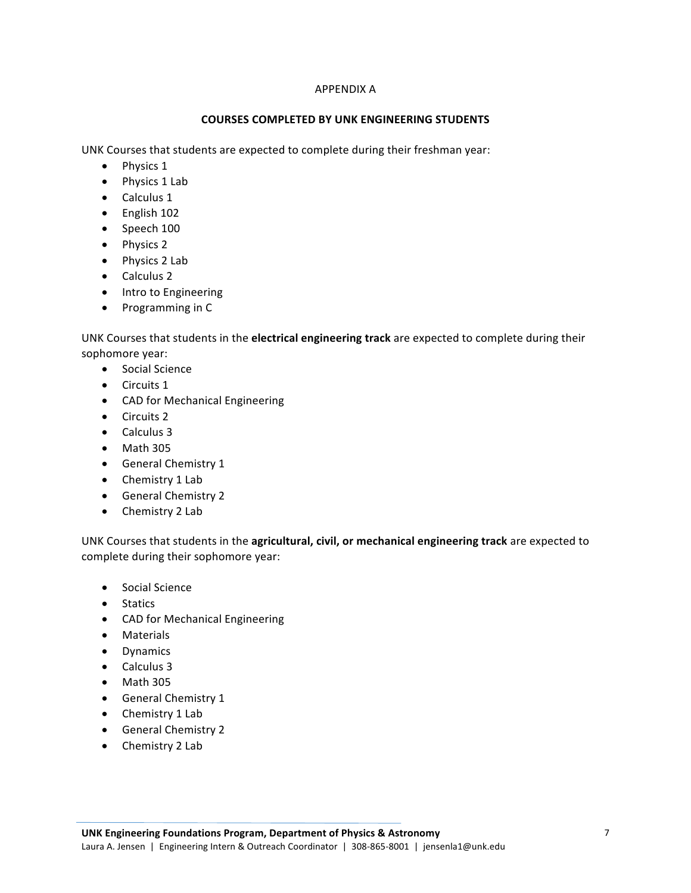## APPENDIX A

## **COURSES COMPLETED BY UNK ENGINEERING STUDENTS**

UNK Courses that students are expected to complete during their freshman year:

- Physics 1
- Physics 1 Lab
- Calculus 1
- English 102
- Speech 100
- Physics 2
- Physics 2 Lab
- Calculus 2
- Intro to Engineering
- Programming in C

UNK Courses that students in the **electrical engineering track** are expected to complete during their sophomore year:

- Social Science
- Circuits 1
- CAD for Mechanical Engineering
- Circuits 2
- Calculus 3
- $\bullet$  Math 305
- General Chemistry 1
- Chemistry 1 Lab
- General Chemistry 2
- Chemistry 2 Lab

UNK Courses that students in the **agricultural, civil, or mechanical engineering track** are expected to complete during their sophomore year:

- Social Science
- Statics
- CAD for Mechanical Engineering
- Materials
- Dynamics
- Calculus 3
- $\bullet$  Math 305
- General Chemistry 1
- Chemistry 1 Lab
- General Chemistry 2
- Chemistry 2 Lab